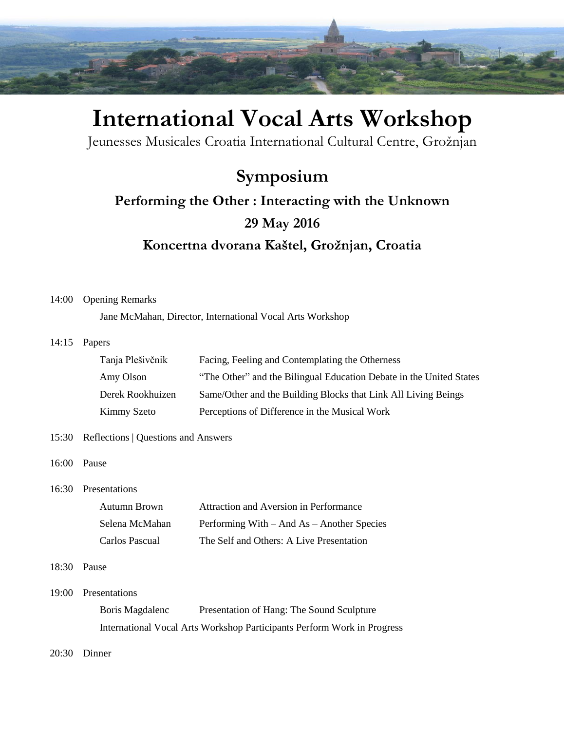

# **International Vocal Arts Workshop**

Jeunesses Musicales Croatia International Cultural Centre, Grožnjan

# **Symposium Performing the Other : Interacting with the Unknown 29 May 2016 Koncertna dvorana Kaštel, Grožnjan, Croatia**

#### 14:00 Opening Remarks

Jane McMahan, Director, International Vocal Arts Workshop

#### 14:15 Papers

| Tanja Plešivčnik | Facing, Feeling and Contemplating the Otherness                     |
|------------------|---------------------------------------------------------------------|
| Amy Olson        | "The Other" and the Bilingual Education Debate in the United States |
| Derek Rookhuizen | Same/Other and the Building Blocks that Link All Living Beings      |
| Kimmy Szeto      | Perceptions of Difference in the Musical Work                       |

#### 15:30 Reflections | Questions and Answers

16:00 Pause

16:30 Presentations

| Autumn Brown   | Attraction and Aversion in Performance     |
|----------------|--------------------------------------------|
| Selena McMahan | Performing With – And As – Another Species |
| Carlos Pascual | The Self and Others: A Live Presentation   |

#### 18:30 Pause

19:00 Presentations

Boris Magdalenc Presentation of Hang: The Sound Sculpture International Vocal Arts Workshop Participants Perform Work in Progress

20:30 Dinner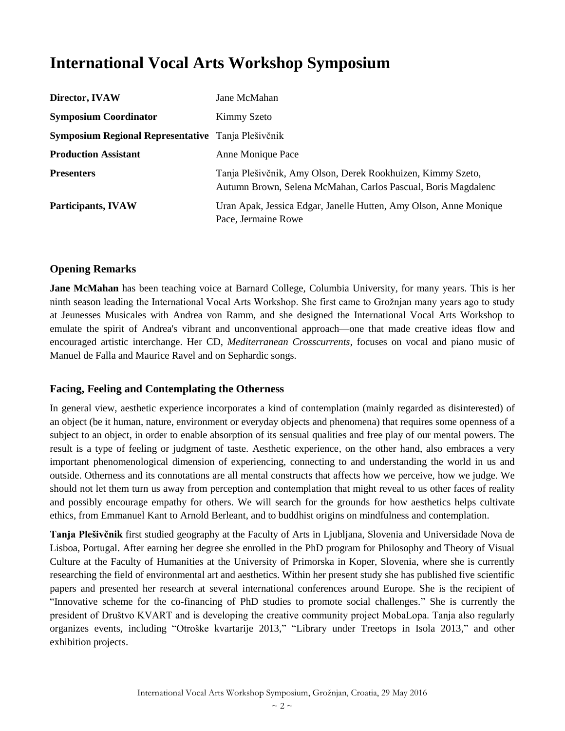# **International Vocal Arts Workshop Symposium**

| Director, IVAW                                     | Jane McMahan                                                                                                                 |
|----------------------------------------------------|------------------------------------------------------------------------------------------------------------------------------|
| <b>Symposium Coordinator</b>                       | Kimmy Szeto                                                                                                                  |
| Symposium Regional Representative Tanja Plešivčnik |                                                                                                                              |
| <b>Production Assistant</b>                        | Anne Monique Pace                                                                                                            |
| <b>Presenters</b>                                  | Tanja Plešivčnik, Amy Olson, Derek Rookhuizen, Kimmy Szeto,<br>Autumn Brown, Selena McMahan, Carlos Pascual, Boris Magdalenc |
| <b>Participants, IVAW</b>                          | Uran Apak, Jessica Edgar, Janelle Hutten, Amy Olson, Anne Monique<br>Pace, Jermaine Rowe                                     |

#### **Opening Remarks**

**Jane McMahan** has been teaching voice at Barnard College, Columbia University, for many years. This is her ninth season leading the International Vocal Arts Workshop. She first came to Grožnjan many years ago to study at Jeunesses Musicales with Andrea von Ramm, and she designed the International Vocal Arts Workshop to emulate the spirit of Andrea's vibrant and unconventional approach—one that made creative ideas flow and encouraged artistic interchange. Her CD, *Mediterranean Crosscurrents*, focuses on vocal and piano music of Manuel de Falla and Maurice Ravel and on Sephardic songs.

#### **Facing, Feeling and Contemplating the Otherness**

In general view, aesthetic experience incorporates a kind of contemplation (mainly regarded as disinterested) of an object (be it human, nature, environment or everyday objects and phenomena) that requires some openness of a subject to an object, in order to enable absorption of its sensual qualities and free play of our mental powers. The result is a type of feeling or judgment of taste. Aesthetic experience, on the other hand, also embraces a very important phenomenological dimension of experiencing, connecting to and understanding the world in us and outside. Otherness and its connotations are all mental constructs that affects how we perceive, how we judge. We should not let them turn us away from perception and contemplation that might reveal to us other faces of reality and possibly encourage empathy for others. We will search for the grounds for how aesthetics helps cultivate ethics, from Emmanuel Kant to Arnold Berleant, and to buddhist origins on mindfulness and contemplation.

**Tanja Plešivčnik** first studied geography at the Faculty of Arts in Ljubljana, Slovenia and Universidade Nova de Lisboa, Portugal. After earning her degree she enrolled in the PhD program for Philosophy and Theory of Visual Culture at the Faculty of Humanities at the University of Primorska in Koper, Slovenia, where she is currently researching the field of environmental art and aesthetics. Within her present study she has published five scientific papers and presented her research at several international conferences around Europe. She is the recipient of "Innovative scheme for the co-financing of PhD studies to promote social challenges." She is currently the president of Društvo KVART and is developing the creative community project MobaLopa. Tanja also regularly organizes events, including "Otroške kvartarije 2013," "Library under Treetops in Isola 2013," and other exhibition projects.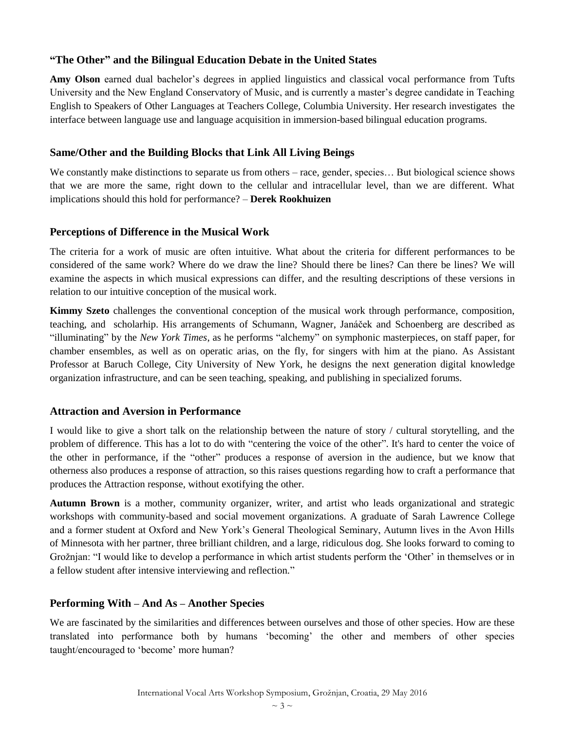#### **"The Other" and the Bilingual Education Debate in the United States**

**Amy Olson** earned dual bachelor's degrees in applied linguistics and classical vocal performance from Tufts University and the New England Conservatory of Music, and is currently a master's degree candidate in Teaching English to Speakers of Other Languages at Teachers College, Columbia University. Her research investigates the interface between language use and language acquisition in immersion-based bilingual education programs.

#### **Same/Other and the Building Blocks that Link All Living Beings**

We constantly make distinctions to separate us from others – race, gender, species... But biological science shows that we are more the same, right down to the cellular and intracellular level, than we are different. What implications should this hold for performance? – **Derek Rookhuizen**

#### **Perceptions of Difference in the Musical Work**

The criteria for a work of music are often intuitive. What about the criteria for different performances to be considered of the same work? Where do we draw the line? Should there be lines? Can there be lines? We will examine the aspects in which musical expressions can differ, and the resulting descriptions of these versions in relation to our intuitive conception of the musical work.

**Kimmy Szeto** challenges the conventional conception of the musical work through performance, composition, teaching, and scholarhip. His arrangements of Schumann, Wagner, Janáček and Schoenberg are described as "illuminating" by the *New York Times*, as he performs "alchemy" on symphonic masterpieces, on staff paper, for chamber ensembles, as well as on operatic arias, on the fly, for singers with him at the piano. As Assistant Professor at Baruch College, City University of New York, he designs the next generation digital knowledge organization infrastructure, and can be seen teaching, speaking, and publishing in specialized forums.

#### **Attraction and Aversion in Performance**

I would like to give a short talk on the relationship between the nature of story / cultural storytelling, and the problem of difference. This has a lot to do with "centering the voice of the other". It's hard to center the voice of the other in performance, if the "other" produces a response of aversion in the audience, but we know that otherness also produces a response of attraction, so this raises questions regarding how to craft a performance that produces the Attraction response, without exotifying the other.

**Autumn Brown** is a mother, community organizer, writer, and artist who leads organizational and strategic workshops with community-based and social movement organizations. A graduate of Sarah Lawrence College and a former student at Oxford and New York's General Theological Seminary, Autumn lives in the Avon Hills of Minnesota with her partner, three brilliant children, and a large, ridiculous dog. She looks forward to coming to Grožnjan: "I would like to develop a performance in which artist students perform the 'Other' in themselves or in a fellow student after intensive interviewing and reflection."

### **Performing With – And As – Another Species**

We are fascinated by the similarities and differences between ourselves and those of other species. How are these translated into performance both by humans 'becoming' the other and members of other species taught/encouraged to 'become' more human?